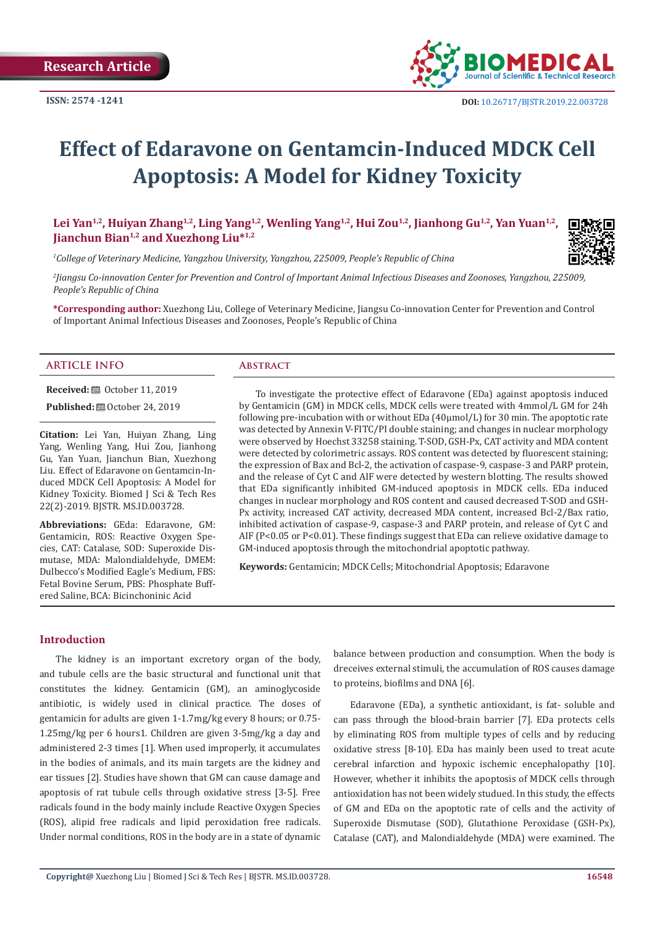

# **Effect of Edaravone on Gentamcin-Induced MDCK Cell Apoptosis: A Model for Kidney Toxicity**

Lei Yan<sup>1,2</sup>, Huiyan Zhang<sup>1,2</sup>, Ling Yang<sup>1,2</sup>, Wenling Yang<sup>1,2</sup>, Hui Zou<sup>1,2</sup>, Jianhong Gu<sup>1,2</sup>, Yan Yuan<sup>1,2</sup>, **Jianchun Bian1,2 and Xuezhong Liu\*1,2**

*1 College of Veterinary Medicine, Yangzhou University, Yangzhou, 225009, People's Republic of China*

*2 Jiangsu Co-innovation Center for Prevention and Control of Important Animal Infectious Diseases and Zoonoses, Yangzhou, 225009, People's Republic of China*

**\*Corresponding author:** Xuezhong Liu, College of Veterinary Medicine, Jiangsu Co-innovation Center for Prevention and Control of Important Animal Infectious Diseases and Zoonoses, People's Republic of China

#### **ARTICLE INFO Abstract**

**Received:** ■ October 11, 2019

**Published:**  $\blacksquare$  October 24, 2019

**Citation:** Lei Yan, Huiyan Zhang, Ling Yang, Wenling Yang, Hui Zou, Jianhong Gu, Yan Yuan, Jianchun Bian, Xuezhong Liu. Effect of Edaravone on Gentamcin-Induced MDCK Cell Apoptosis: A Model for Kidney Toxicity. Biomed J Sci & Tech Res 22(2)-2019. BJSTR. MS.ID.003728.

**Abbreviations:** GEda: Edaravone, GM: Gentamicin, ROS: Reactive Oxygen Species, CAT: Catalase, SOD: Superoxide Dismutase, MDA: Malondialdehyde, DMEM: Dulbecco's Modified Eagle's Medium, FBS: Fetal Bovine Serum, PBS: Phosphate Buffered Saline, BCA: Bicinchoninic Acid

To investigate the protective effect of Edaravone (EDa) against apoptosis induced by Gentamicin (GM) in MDCK cells, MDCK cells were treated with 4mmol/L GM for 24h following pre-incubation with or without EDa (40µmol/L) for 30 min. The apoptotic rate was detected by Annexin V-FITC/PI double staining; and changes in nuclear morphology were observed by Hoechst 33258 staining. T-SOD, GSH-Px, CAT activity and MDA content were detected by colorimetric assays. ROS content was detected by fluorescent staining; the expression of Bax and Bcl-2, the activation of caspase-9, caspase-3 and PARP protein, and the release of Cyt C and AIF were detected by western blotting. The results showed that EDa significantly inhibited GM-induced apoptosis in MDCK cells. EDa induced changes in nuclear morphology and ROS content and caused decreased T-SOD and GSH-Px activity, increased CAT activity, decreased MDA content, increased Bcl-2/Bax ratio, inhibited activation of caspase-9, caspase-3 and PARP protein, and release of Cyt C and AIF (P<0.05 or P<0.01). These findings suggest that EDa can relieve oxidative damage to GM-induced apoptosis through the mitochondrial apoptotic pathway.

**Keywords:** Gentamicin; MDCK Cells; Mitochondrial Apoptosis; Edaravone

#### **Introduction**

The kidney is an important excretory organ of the body, and tubule cells are the basic structural and functional unit that constitutes the kidney. Gentamicin (GM), an aminoglycoside antibiotic, is widely used in clinical practice. The doses of gentamicin for adults are given 1-1.7mg/kg every 8 hours; or 0.75- 1.25mg/kg per 6 hours1. Children are given 3-5mg/kg a day and administered 2-3 times [1]. When used improperly, it accumulates in the bodies of animals, and its main targets are the kidney and ear tissues [2]. Studies have shown that GM can cause damage and apoptosis of rat tubule cells through oxidative stress [3-5]. Free radicals found in the body mainly include Reactive Oxygen Species (ROS), alipid free radicals and lipid peroxidation free radicals. Under normal conditions, ROS in the body are in a state of dynamic balance between production and consumption. When the body is dreceives external stimuli, the accumulation of ROS causes damage to proteins, biofilms and DNA [6].

Edaravone (EDa), a synthetic antioxidant, is fat- soluble and can pass through the blood-brain barrier [7]. EDa protects cells by eliminating ROS from multiple types of cells and by reducing oxidative stress [8-10]. EDa has mainly been used to treat acute cerebral infarction and hypoxic ischemic encephalopathy [10]. However, whether it inhibits the apoptosis of MDCK cells through antioxidation has not been widely studued. In this study, the effects of GM and EDa on the apoptotic rate of cells and the activity of Superoxide Dismutase (SOD), Glutathione Peroxidase (GSH-Px), Catalase (CAT), and Malondialdehyde (MDA) were examined. The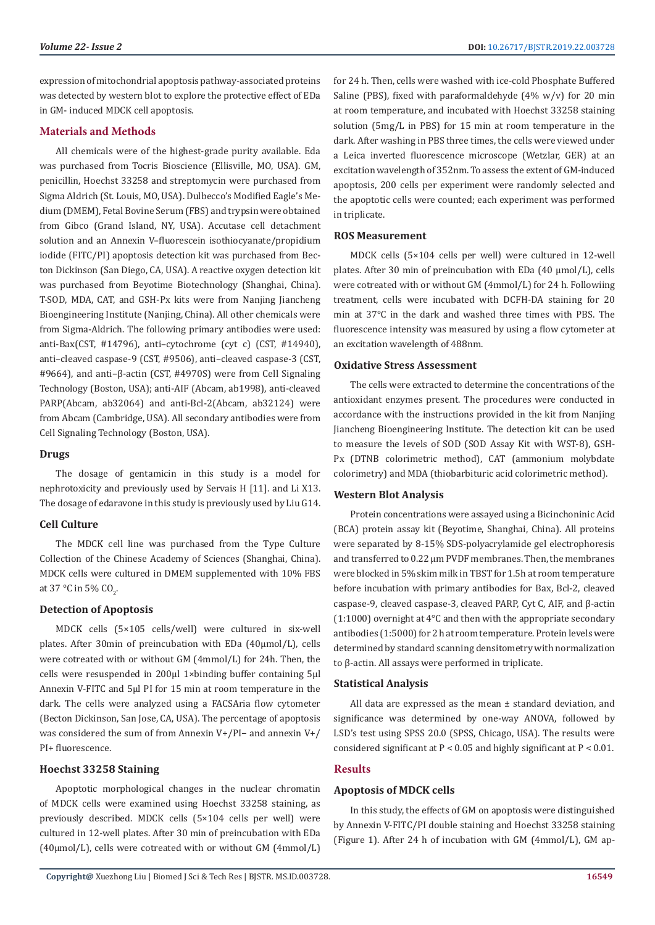expression of mitochondrial apoptosis pathway-associated proteins was detected by western blot to explore the protective effect of EDa in GM- induced MDCK cell apoptosis.

## **Materials and Methods**

All chemicals were of the highest-grade purity available. Eda was purchased from Tocris Bioscience (Ellisville, MO, USA). GM, penicillin, Hoechst 33258 and streptomycin were purchased from Sigma Aldrich (St. Louis, MO, USA). Dulbecco's Modified Eagle's Medium (DMEM), Fetal Bovine Serum (FBS) and trypsin were obtained from Gibco (Grand Island, NY, USA). Accutase cell detachment solution and an Annexin V–fluorescein isothiocyanate/propidium iodide (FITC/PI) apoptosis detection kit was purchased from Becton Dickinson (San Diego, CA, USA). A reactive oxygen detection kit was purchased from Beyotime Biotechnology (Shanghai, China). T-SOD, MDA, CAT, and GSH-Px kits were from Nanjing Jiancheng Bioengineering Institute (Nanjing, China). All other chemicals were from Sigma-Aldrich. The following primary antibodies were used: anti-Bax(CST, #14796), anti–cytochrome (cyt c) (CST, #14940), anti–cleaved caspase-9 (CST, #9506), anti–cleaved caspase-3 (CST, #9664), and anti–β-actin (CST, #4970S) were from Cell Signaling Technology (Boston, USA); anti-AIF (Abcam, ab1998), anti-cleaved PARP(Abcam, ab32064) and anti-Bcl-2(Abcam, ab32124) were from Abcam (Cambridge, USA). All secondary antibodies were from Cell Signaling Technology (Boston, USA).

#### **Drugs**

The dosage of gentamicin in this study is a model for nephrotoxicity and previously used by Servais H [11]. and Li X13. The dosage of edaravone in this study is previously used by Liu G14.

# **Cell Culture**

The MDCK cell line was purchased from the Type Culture Collection of the Chinese Academy of Sciences (Shanghai, China). MDCK cells were cultured in DMEM supplemented with 10% FBS at 37 °C in 5% CO<sub>2</sub>.

#### **Detection of Apoptosis**

MDCK cells (5×105 cells/well) were cultured in six-well plates. After 30min of preincubation with EDa (40µmol/L), cells were cotreated with or without GM (4mmol/L) for 24h. Then, the cells were resuspended in 200μl 1×binding buffer containing 5μl Annexin V-FITC and 5μl PI for 15 min at room temperature in the dark. The cells were analyzed using a FACSAria flow cytometer (Becton Dickinson, San Jose, CA, USA). The percentage of apoptosis was considered the sum of from Annexin V+/PI− and annexin V+/ PI+ fluorescence.

#### **Hoechst 33258 Staining**

Apoptotic morphological changes in the nuclear chromatin of MDCK cells were examined using Hoechst 33258 staining, as previously described. MDCK cells (5×104 cells per well) were cultured in 12-well plates. After 30 min of preincubation with EDa  $(40 \mu \text{mol/L})$ , cells were cotreated with or without GM  $(4 \text{mmol/L})$ 

for 24 h. Then, cells were washed with ice-cold Phosphate Buffered Saline (PBS), fixed with paraformaldehyde (4% w/v) for 20 min at room temperature, and incubated with Hoechst 33258 staining solution (5mg/L in PBS) for 15 min at room temperature in the dark. After washing in PBS three times, the cells were viewed under a Leica inverted fluorescence microscope (Wetzlar, GER) at an excitation wavelength of 352nm. To assess the extent of GM-induced apoptosis, 200 cells per experiment were randomly selected and the apoptotic cells were counted; each experiment was performed in triplicate.

#### **ROS Measurement**

MDCK cells (5×104 cells per well) were cultured in 12-well plates. After 30 min of preincubation with EDa (40 µmol/L), cells were cotreated with or without GM (4mmol/L) for 24 h. Followiing treatment, cells were incubated with DCFH-DA staining for 20 min at 37℃ in the dark and washed three times with PBS. The fluorescence intensity was measured by using a flow cytometer at an excitation wavelength of 488nm.

# **Oxidative Stress Assessment**

The cells were extracted to determine the concentrations of the antioxidant enzymes present. The procedures were conducted in accordance with the instructions provided in the kit from Nanjing Jiancheng Bioengineering Institute. The detection kit can be used to measure the levels of SOD (SOD Assay Kit with WST-8), GSH-Px (DTNB colorimetric method), CAT (ammonium molybdate colorimetry) and MDA (thiobarbituric acid colorimetric method).

# **Western Blot Analysis**

Protein concentrations were assayed using a Bicinchoninic Acid (BCA) protein assay kit (Beyotime, Shanghai, China). All proteins were separated by 8-15% SDS-polyacrylamide gel electrophoresis and transferred to 0.22 μm PVDF membranes. Then, the membranes were blocked in 5% skim milk in TBST for 1.5h at room temperature before incubation with primary antibodies for Bax, Bcl-2, cleaved caspase-9, cleaved caspase-3, cleaved PARP, Cyt C, AIF, and β-actin (1:1000) overnight at 4°C and then with the appropriate secondary antibodies (1:5000) for 2 h at room temperature. Protein levels were determined by standard scanning densitometry with normalization to β-actin. All assays were performed in triplicate.

#### **Statistical Analysis**

All data are expressed as the mean ± standard deviation, and significance was determined by one-way ANOVA, followed by LSD's test using SPSS 20.0 (SPSS, Chicago, USA). The results were considered significant at P < 0.05 and highly significant at P < 0.01.

# **Results**

# **Apoptosis of MDCK cells**

In this study, the effects of GM on apoptosis were distinguished by Annexin V-FITC/PI double staining and Hoechst 33258 staining (Figure 1). After 24 h of incubation with GM (4mmol/L), GM ap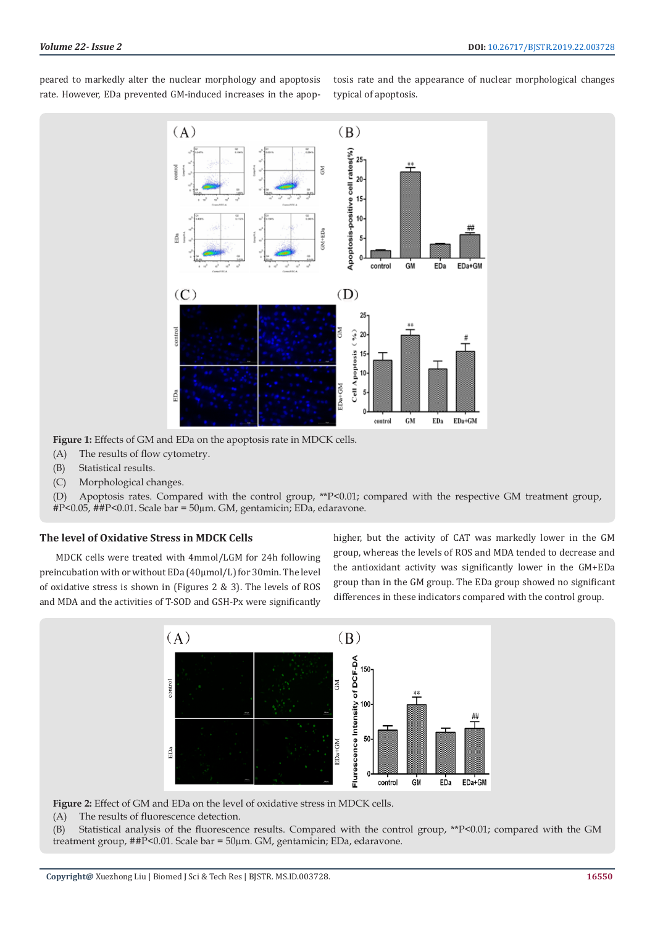peared to markedly alter the nuclear morphology and apoptosis rate. However, EDa prevented GM-induced increases in the apoptosis rate and the appearance of nuclear morphological changes typical of apoptosis.



**Figure 1:** Effects of GM and EDa on the apoptosis rate in MDCK cells.

- (A) The results of flow cytometry.
- (B) Statistical results.
- (C) Morphological changes.

(D) Apoptosis rates. Compared with the control group, \*\*P<0.01; compared with the respective GM treatment group, #P<0.05, ##P<0.01. Scale bar = 50µm. GM, gentamicin; EDa, edaravone.

#### **The level of Oxidative Stress in MDCK Cells**

MDCK cells were treated with 4mmol/LGM for 24h following preincubation with or without EDa (40µmol/L) for 30min. The level of oxidative stress is shown in (Figures 2 & 3). The levels of ROS and MDA and the activities of T-SOD and GSH-Px were significantly higher, but the activity of CAT was markedly lower in the GM group, whereas the levels of ROS and MDA tended to decrease and the antioxidant activity was significantly lower in the GM+EDa group than in the GM group. The EDa group showed no significant differences in these indicators compared with the control group.



**Figure 2:** Effect of GM and EDa on the level of oxidative stress in MDCK cells.

(A) The results of fluorescence detection.

(B) Statistical analysis of the fluorescence results. Compared with the control group, \*\*P<0.01; compared with the GM treatment group, ##P<0.01. Scale bar = 50µm. GM, gentamicin; EDa, edaravone.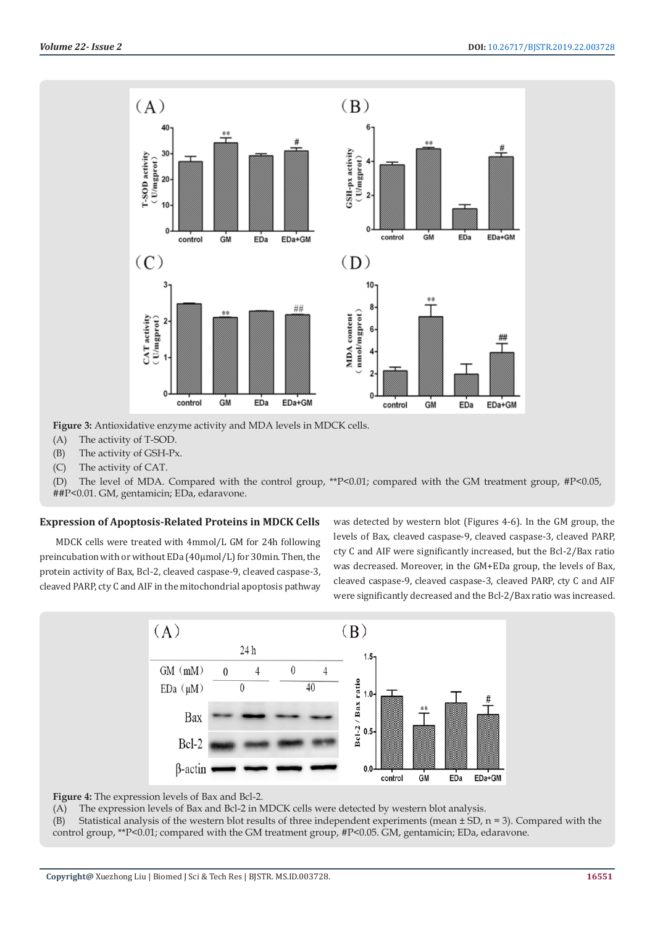

**Figure 3:** Antioxidative enzyme activity and MDA levels in MDCK cells.

- (A) The activity of T-SOD.
- (B) The activity of GSH-Px.
- (C) The activity of CAT.

(D) The level of MDA. Compared with the control group, \*\*P<0.01; compared with the GM treatment group, #P<0.05, ##P<0.01. GM, gentamicin; EDa, edaravone.

# **Expression of Apoptosis-Related Proteins in MDCK Cells**

MDCK cells were treated with 4mmol/L GM for 24h following preincubation with or without EDa (40µmol/L) for 30min. Then, the protein activity of Bax, Bcl-2, cleaved caspase-9, cleaved caspase-3, cleaved PARP, cty C and AIF in the mitochondrial apoptosis pathway

was detected by western blot (Figures 4-6). In the GM group, the levels of Bax, cleaved caspase-9, cleaved caspase-3, cleaved PARP, cty C and AIF were significantly increased, but the Bcl-2/Bax ratio was decreased. Moreover, in the GM+EDa group, the levels of Bax, cleaved caspase-9, cleaved caspase-3, cleaved PARP, cty C and AIF were significantly decreased and the Bcl-2/Bax ratio was increased.



**Figure 4:** The expression levels of Bax and Bcl-2.

(A) The expression levels of Bax and Bcl-2 in MDCK cells were detected by western blot analysis.

(B) Statistical analysis of the western blot results of three independent experiments (mean  $\pm$  SD, n = 3). Compared with the control group, \*\*P<0.01; compared with the GM treatment group, #P<0.05. GM, gentamicin; EDa, edaravone.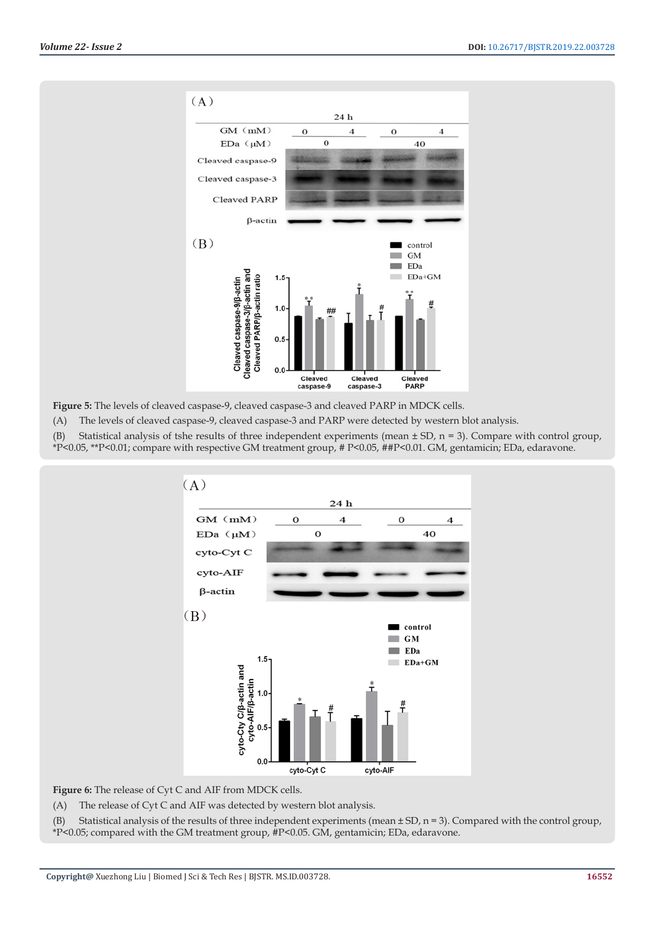

**Figure 5:** The levels of cleaved caspase-9, cleaved caspase-3 and cleaved PARP in MDCK cells.

(A) The levels of cleaved caspase-9, cleaved caspase-3 and PARP were detected by western blot analysis.

(B) Statistical analysis of tshe results of three independent experiments (mean  $\pm$  SD, n = 3). Compare with control group,

\*P<0.05, \*\*P<0.01; compare with respective GM treatment group, # P<0.05, ##P<0.01. GM, gentamicin; EDa, edaravone.



Figure 6: The release of Cyt C and AIF from MDCK cells.

(A) The release of Cyt C and AIF was detected by western blot analysis.

(B) Statistical analysis of the results of three independent experiments (mean  $\pm$  SD, n = 3). Compared with the control group, \*P<0.05; compared with the GM treatment group, #P<0.05. GM, gentamicin; EDa, edaravone.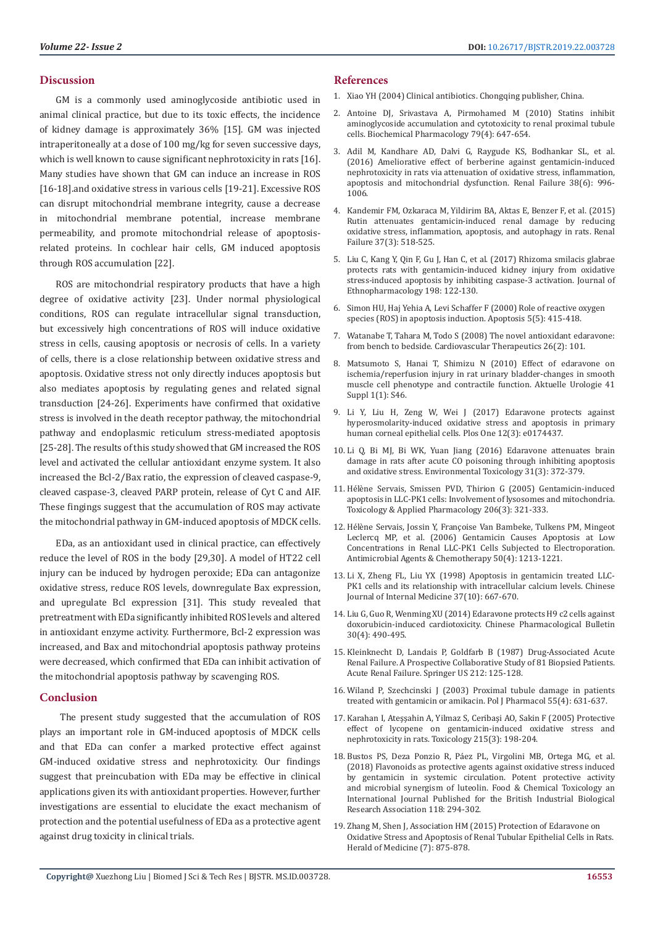## **Discussion**

GM is a commonly used aminoglycoside antibiotic used in animal clinical practice, but due to its toxic effects, the incidence of kidney damage is approximately 36% [15]. GM was injected intraperitoneally at a dose of 100 mg/kg for seven successive days, which is well known to cause significant nephrotoxicity in rats [16]. Many studies have shown that GM can induce an increase in ROS [16-18].and oxidative stress in various cells [19-21]. Excessive ROS can disrupt mitochondrial membrane integrity, cause a decrease in mitochondrial membrane potential, increase membrane permeability, and promote mitochondrial release of apoptosisrelated proteins. In cochlear hair cells, GM induced apoptosis through ROS accumulation [22].

ROS are mitochondrial respiratory products that have a high degree of oxidative activity [23]. Under normal physiological conditions, ROS can regulate intracellular signal transduction, but excessively high concentrations of ROS will induce oxidative stress in cells, causing apoptosis or necrosis of cells. In a variety of cells, there is a close relationship between oxidative stress and apoptosis. Oxidative stress not only directly induces apoptosis but also mediates apoptosis by regulating genes and related signal transduction [24-26]. Experiments have confirmed that oxidative stress is involved in the death receptor pathway, the mitochondrial pathway and endoplasmic reticulum stress-mediated apoptosis [25-28]. The results of this study showed that GM increased the ROS level and activated the cellular antioxidant enzyme system. It also increased the Bcl-2/Bax ratio, the expression of cleaved caspase-9, cleaved caspase-3, cleaved PARP protein, release of Cyt C and AIF. These fingings suggest that the accumulation of ROS may activate the mitochondrial pathway in GM-induced apoptosis of MDCK cells.

EDa, as an antioxidant used in clinical practice, can effectively reduce the level of ROS in the body [29,30]. A model of HT22 cell injury can be induced by hydrogen peroxide; EDa can antagonize oxidative stress, reduce ROS levels, downregulate Bax expression, and upregulate Bcl expression [31]. This study revealed that pretreatment with EDa significantly inhibited ROS levels and altered in antioxidant enzyme activity. Furthermore, Bcl-2 expression was increased, and Bax and mitochondrial apoptosis pathway proteins were decreased, which confirmed that EDa can inhibit activation of the mitochondrial apoptosis pathway by scavenging ROS.

#### **Conclusion**

 The present study suggested that the accumulation of ROS plays an important role in GM-induced apoptosis of MDCK cells and that EDa can confer a marked protective effect against GM-induced oxidative stress and nephrotoxicity. Our findings suggest that preincubation with EDa may be effective in clinical applications given its with antioxidant properties. However, further investigations are essential to elucidate the exact mechanism of protection and the potential usefulness of EDa as a protective agent against drug toxicity in clinical trials.

### **References**

- 1. Xiao YH (2004) Clinical antibiotics. Chongqing publisher, China.
- 2. [Antoine DJ, Srivastava A, Pirmohamed M \(2010\) Statins inhibit](https://www.ncbi.nlm.nih.gov/pubmed/19782050) [aminoglycoside accumulation and cytotoxicity to renal proximal tubule](https://www.ncbi.nlm.nih.gov/pubmed/19782050) [cells. Biochemical Pharmacology 79\(4\): 647-654.](https://www.ncbi.nlm.nih.gov/pubmed/19782050)
- 3. [Adil M, Kandhare AD, Dalvi G, Raygude KS, Bodhankar SL, et al.](https://www.ncbi.nlm.nih.gov/pubmed/27056079) [\(2016\) Ameliorative effect of berberine against gentamicin-induced](https://www.ncbi.nlm.nih.gov/pubmed/27056079) [nephrotoxicity in rats via attenuation of oxidative stress, inflammation,](https://www.ncbi.nlm.nih.gov/pubmed/27056079) [apoptosis and mitochondrial dysfunction. Renal Failure 38\(6\): 996-](https://www.ncbi.nlm.nih.gov/pubmed/27056079) [1006.](https://www.ncbi.nlm.nih.gov/pubmed/27056079)
- 4. [Kandemir FM, Ozkaraca M, Yildirim BA,](https://www.ncbi.nlm.nih.gov/pubmed/25613739) Aktas E, Benzer F, et al. (2015) [Rutin attenuates gentamicin-induced renal damage by reducing](https://www.ncbi.nlm.nih.gov/pubmed/25613739) [oxidative stress, inflammation, apoptosis, and autophagy in rats. Renal](https://www.ncbi.nlm.nih.gov/pubmed/25613739) [Failure 37\(3\): 518-525.](https://www.ncbi.nlm.nih.gov/pubmed/25613739)
- 5. [Liu C, Kang Y, Qin F, Gu J, Han C, et al. \(2017\) Rhizoma smilacis glabrae](http://europepmc.org/abstract/med/28034658) [protects rats with gentamicin-induced kidney injury from oxidative](http://europepmc.org/abstract/med/28034658) [stress-induced apoptosis by inhibiting caspase-3 activation. Journal of](http://europepmc.org/abstract/med/28034658) [Ethnopharmacology 198: 122-130.](http://europepmc.org/abstract/med/28034658)
- 6. [Simon HU, Haj Yehia A, Levi Schaffer F \(2000\) Role of reactive oxygen](https://link.springer.com/article/10.1023/A:1009616228304)  [species \(ROS\) in apoptosis induction. Apoptosis 5\(5\): 415-418.](https://link.springer.com/article/10.1023/A:1009616228304)
- 7. [Watanabe T, Tahara M, Todo S \(2008\) The novel antioxidant edaravone:](https://www.ncbi.nlm.nih.gov/pubmed/18485133) [from bench to bedside. Cardiovascular Therapeutics 26\(2\): 101.](https://www.ncbi.nlm.nih.gov/pubmed/18485133)
- 8. [Matsumoto S, Hanai T, Shimizu N \(2010\) Effect of edaravone on](https://www.researchgate.net/publication/41113026_Effect_of_Edaravone_on_Ischemia_Reperfusion_Injury_in_Rat_Urinary_Bladder_-_Changes_in_Smooth_Muscle_Cell_Phenotype_and_Contractile_Function) [ischemia/reperfusion injury in rat urinary bladder-changes in smooth](https://www.researchgate.net/publication/41113026_Effect_of_Edaravone_on_Ischemia_Reperfusion_Injury_in_Rat_Urinary_Bladder_-_Changes_in_Smooth_Muscle_Cell_Phenotype_and_Contractile_Function) [muscle cell phenotype and contractile function. Aktuelle Urologie 41](https://www.researchgate.net/publication/41113026_Effect_of_Edaravone_on_Ischemia_Reperfusion_Injury_in_Rat_Urinary_Bladder_-_Changes_in_Smooth_Muscle_Cell_Phenotype_and_Contractile_Function) [Suppl 1\(1\): S46.](https://www.researchgate.net/publication/41113026_Effect_of_Edaravone_on_Ischemia_Reperfusion_Injury_in_Rat_Urinary_Bladder_-_Changes_in_Smooth_Muscle_Cell_Phenotype_and_Contractile_Function)
- 9. [Li Y, Liu H, Zeng W, Wei J \(2017\) Edaravone protects against](https://www.ncbi.nlm.nih.gov/pubmed/28346481) [hyperosmolarity-induced oxidative stress and apoptosis in primary](https://www.ncbi.nlm.nih.gov/pubmed/28346481) [human corneal epithelial cells. Plos One 12\(3\): e0174437.](https://www.ncbi.nlm.nih.gov/pubmed/28346481)
- 10. [Li Q, Bi MJ, Bi WK, Yuan Jiang \(2016\) Edaravone attenuates brain](https://www.ncbi.nlm.nih.gov/pubmed/25348283) [damage in rats after acute CO poisoning through inhibiting apoptosis](https://www.ncbi.nlm.nih.gov/pubmed/25348283) [and oxidative stress. Environmental Toxicology 31\(3\): 372-379.](https://www.ncbi.nlm.nih.gov/pubmed/25348283)
- 11. [Hélène Servais, Smissen PVD, Thirion G \(2005\) Gentamicin-induced](https://europepmc.org/abstract/med/16039943) [apoptosis in LLC-PK1 cells: Involvement of lysosomes and mitochondria.](https://europepmc.org/abstract/med/16039943) [Toxicology & Applied Pharmacology 206\(3\): 321-333.](https://europepmc.org/abstract/med/16039943)
- 12. [Hélène Servais, Jossin Y, Françoise Van Bambeke, Tulkens PM, Mingeot](https://europepmc.org/abstract/med/16039943) [Leclercq MP, et al. \(2006\) Gentamicin Causes Apoptosis at Low](https://europepmc.org/abstract/med/16039943) [Concentrations in Renal LLC-PK1 Cells Subjected to Electroporation.](https://europepmc.org/abstract/med/16039943) [Antimicrobial Agents & Chemotherapy 50\(4\): 1213-1221.](https://europepmc.org/abstract/med/16039943)
- 13. Li X, Zheng FL, Liu YX (1998) Apoptosis in gentamicin treated LLC-PK1 cells and its relationship with intracellular calcium levels. Chinese Journal of Internal Medicine 37(10): 667-670.
- 14. [Liu G, Guo R, Wenming XU \(2014\) Edaravone protects H9 c2 cells against](https://www.researchgate.net/publication/286182165_Edaravone_protects_H9c2_cells_against_doxorubicin-induced_cardiotoxicity) [doxorubicin-induced cardiotoxicity. Chinese Pharmacological Bulletin](https://www.researchgate.net/publication/286182165_Edaravone_protects_H9c2_cells_against_doxorubicin-induced_cardiotoxicity) [30\(4\): 490-495.](https://www.researchgate.net/publication/286182165_Edaravone_protects_H9c2_cells_against_doxorubicin-induced_cardiotoxicity)
- 15. [Kleinknecht D, Landais P, Goldfarb B \(1987\) Drug-Associated Acute](https://link.springer.com/chapter/10.1007/978-1-4684-8240-9_16) [Renal Failure. A Prospective Collaborative Study of 81 Biopsied Patients.](https://link.springer.com/chapter/10.1007/978-1-4684-8240-9_16) [Acute Renal Failure. Springer US 212: 125-128.](https://link.springer.com/chapter/10.1007/978-1-4684-8240-9_16)
- 16. [Wiland P, Szechcinski J \(2003\) Proximal tubule damage in patients](https://www.ncbi.nlm.nih.gov/pubmed/14581723) [treated with gentamicin or amikacin. Pol J Pharmacol 55\(4\): 631-637.](https://www.ncbi.nlm.nih.gov/pubmed/14581723)
- 17. [Karahan I, Ateşşahin A, Yilmaz S, Ceribaşi AO, Sakin F \(2005\) Protective](https://www.ncbi.nlm.nih.gov/pubmed/16125832) [effect of lycopene on gentamicin-induced oxidative stress and](https://www.ncbi.nlm.nih.gov/pubmed/16125832) [nephrotoxicity in rats. Toxicology 215\(3\): 198-204.](https://www.ncbi.nlm.nih.gov/pubmed/16125832)
- 18. [Bustos PS, Deza Ponzio R, Páez PL, Virgolini MB, Ortega MG, et al.](https://www.ncbi.nlm.nih.gov/pubmed/29758313) [\(2018\) Flavonoids as protective agents against oxidative stress induced](https://www.ncbi.nlm.nih.gov/pubmed/29758313) [by gentamicin in systemic circulation. Potent protective activity](https://www.ncbi.nlm.nih.gov/pubmed/29758313) [and microbial synergism of luteolin. Food & Chemical Toxicology an](https://www.ncbi.nlm.nih.gov/pubmed/29758313) [International Journal Published for the British Industrial Biological](https://www.ncbi.nlm.nih.gov/pubmed/29758313) [Research Association 118: 294-302.](https://www.ncbi.nlm.nih.gov/pubmed/29758313)
- 19. Zhang M, Shen J, Association HM (2015) Protection of Edaravone on Oxidative Stress and Apoptosis of Renal Tubular Epithelial Cells in Rats. Herald of Medicine (7): 875-878.